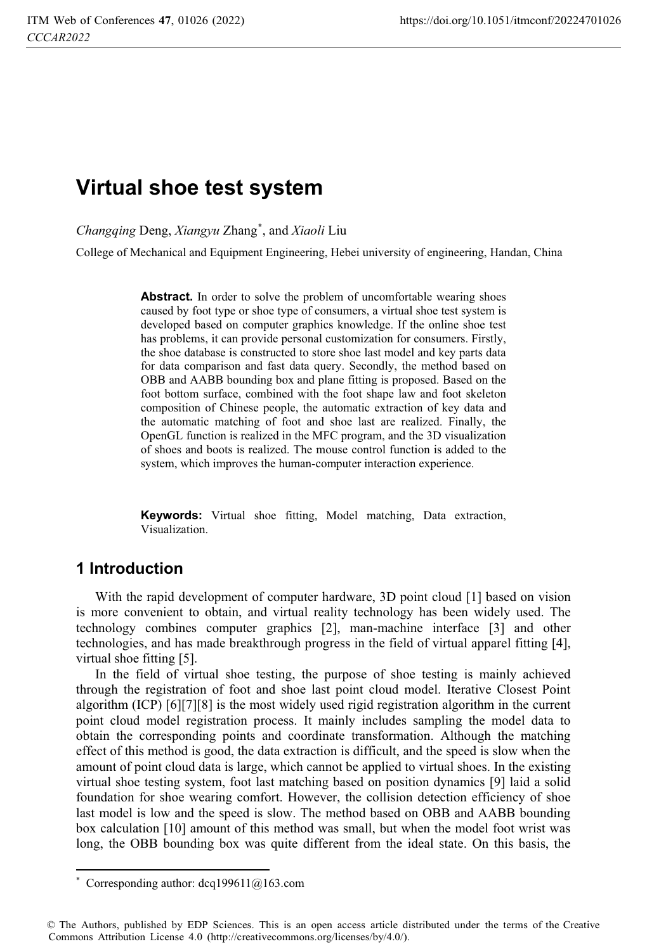# **Virtual shoe test system**

*Changqing* Deng, *Xiangyu* Zhang\* , and *Xiaoli* Liu

College of Mechanical and Equipment Engineering, Hebei university of engineering, Handan, China

Abstract. In order to solve the problem of uncomfortable wearing shoes caused by foot type or shoe type of consumers, a virtual shoe test system is developed based on computer graphics knowledge. If the online shoe test has problems, it can provide personal customization for consumers. Firstly, the shoe database is constructed to store shoe last model and key parts data for data comparison and fast data query. Secondly, the method based on OBB and AABB bounding box and plane fitting is proposed. Based on the foot bottom surface, combined with the foot shape law and foot skeleton composition of Chinese people, the automatic extraction of key data and the automatic matching of foot and shoe last are realized. Finally, the OpenGL function is realized in the MFC program, and the 3D visualization of shoes and boots is realized. The mouse control function is added to the system, which improves the human-computer interaction experience.

**Keywords:** Virtual shoe fitting, Model matching, Data extraction, Visualization.

### **1 Introduction**

 $\overline{a}$ 

With the rapid development of computer hardware, 3D point cloud [1] based on vision is more convenient to obtain, and virtual reality technology has been widely used. The technology combines computer graphics [2], man-machine interface [3] and other technologies, and has made breakthrough progress in the field of virtual apparel fitting [4], virtual shoe fitting [5].

In the field of virtual shoe testing, the purpose of shoe testing is mainly achieved through the registration of foot and shoe last point cloud model. Iterative Closest Point algorithm (ICP) [6][7][8] is the most widely used rigid registration algorithm in the current point cloud model registration process. It mainly includes sampling the model data to obtain the corresponding points and coordinate transformation. Although the matching effect of this method is good, the data extraction is difficult, and the speed is slow when the amount of point cloud data is large, which cannot be applied to virtual shoes. In the existing virtual shoe testing system, foot last matching based on position dynamics [9] laid a solid foundation for shoe wearing comfort. However, the collision detection efficiency of shoe last model is low and the speed is slow. The method based on OBB and AABB bounding box calculation [10] amount of this method was small, but when the model foot wrist was long, the OBB bounding box was quite different from the ideal state. On this basis, the

<sup>\*</sup> Corresponding author:  $dcq199611@163.com$ 

<sup>©</sup> The Authors, published by EDP Sciences. This is an open access article distributed under the terms of the Creative Commons Attribution License 4.0 (http://creativecommons.org/licenses/by/4.0/).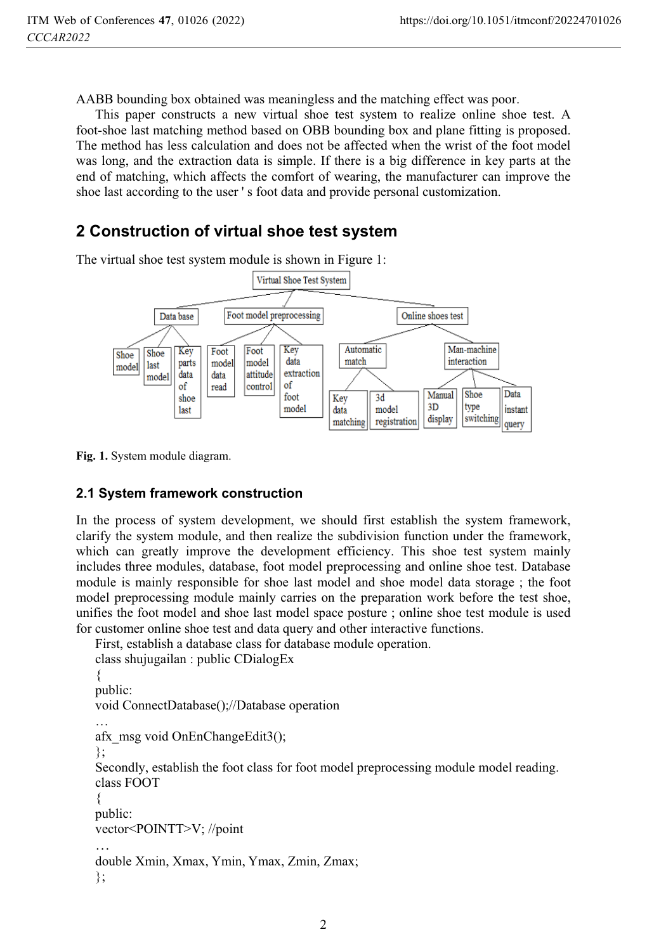AABB bounding box obtained was meaningless and the matching effect was poor.

This paper constructs a new virtual shoe test system to realize online shoe test. A foot-shoe last matching method based on OBB bounding box and plane fitting is proposed. The method has less calculation and does not be affected when the wrist of the foot model was long, and the extraction data is simple. If there is a big difference in key parts at the end of matching, which affects the comfort of wearing, the manufacturer can improve the shoe last according to the user ' s foot data and provide personal customization.

# **2 Construction of virtual shoe test system**

The virtual shoe test system module is shown in Figure 1:



**Fig. 1.** System module diagram.

#### **2.1 System framework construction**

In the process of system development, we should first establish the system framework, clarify the system module, and then realize the subdivision function under the framework, which can greatly improve the development efficiency. This shoe test system mainly includes three modules, database, foot model preprocessing and online shoe test. Database module is mainly responsible for shoe last model and shoe model data storage ; the foot model preprocessing module mainly carries on the preparation work before the test shoe, unifies the foot model and shoe last model space posture ; online shoe test module is used for customer online shoe test and data query and other interactive functions.

```
First, establish a database class for database module operation. 
class shujugailan : public CDialogEx
```

```
{ 
public: 
void ConnectDatabase();//Database operation 
… 
afx_msg void OnEnChangeEdit3();
}; 
Secondly, establish the foot class for foot model preprocessing module model reading. 
class FOOT 
{ 
public: 
vector<POINTT>V; //point 
… 
double Xmin, Xmax, Ymin, Ymax, Zmin, Zmax; 
};
```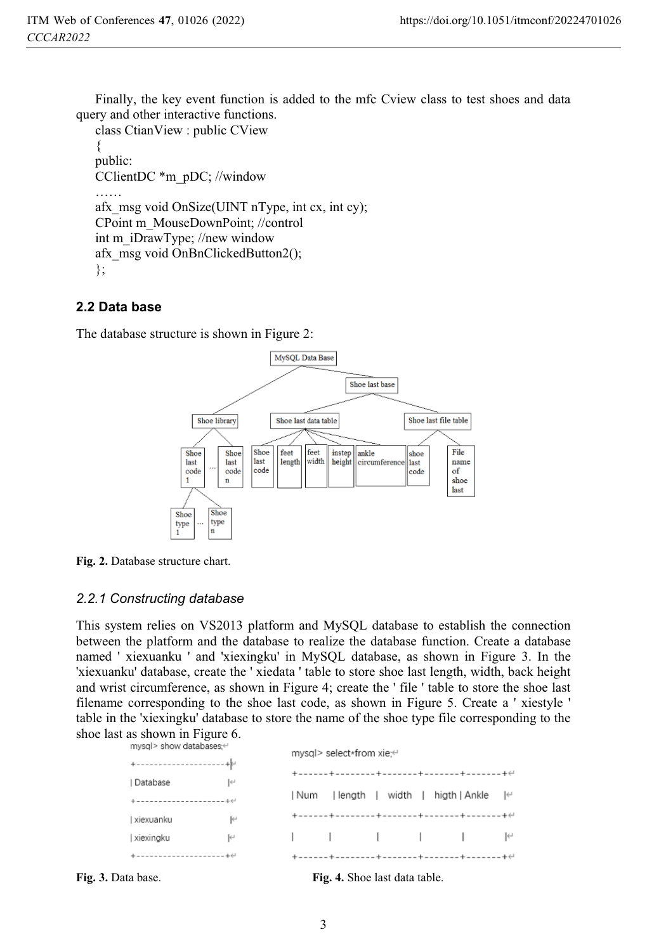Finally, the key event function is added to the mfc Cview class to test shoes and data query and other interactive functions.

```
class CtianView : public CView 
{ 
public: 
CClientDC *m_pDC; //window 
…… 
afx msg void OnSize(UINT nType, int cx, int cy);
CPoint m_MouseDownPoint; //control 
int m_iDrawType; //new window 
afx_msg void OnBnClickedButton2(); 
};
```
### **2.2 Data base**

The database structure is shown in Figure 2:



**Fig. 2.** Database structure chart.

#### *2.2.1 Constructing database*

This system relies on VS2013 platform and MySQL database to establish the connection between the platform and the database to realize the database function. Create a database named ' xiexuanku ' and 'xiexingku' in MySQL database, as shown in Figure 3. In the 'xiexuanku' database, create the ' xiedata ' table to store shoe last length, width, back height and wrist circumference, as shown in Figure 4; create the ' file ' table to store the shoe last filename corresponding to the shoe last code, as shown in Figure 5. Create a ' xiestyle ' table in the 'xiexingku' database to store the name of the shoe type file corresponding to the shoe last as shown in Figure 6.

| mysql> show databases; <sup>←</sup>            |                             | mysql> select*from xie: e                                                                                                                                                                                                                                                                                                                                                                                                                                                                                                                                                           |  |    |
|------------------------------------------------|-----------------------------|-------------------------------------------------------------------------------------------------------------------------------------------------------------------------------------------------------------------------------------------------------------------------------------------------------------------------------------------------------------------------------------------------------------------------------------------------------------------------------------------------------------------------------------------------------------------------------------|--|----|
| $+ - - - - - - - - - - - - - - - + + +$        |                             |                                                                                                                                                                                                                                                                                                                                                                                                                                                                                                                                                                                     |  |    |
| Database                                       | $\left  \leftarrow \right $ |                                                                                                                                                                                                                                                                                                                                                                                                                                                                                                                                                                                     |  |    |
| $+ - - - - - - - - - - - - - - - - - + \theta$ |                             | Num   length   width   higth   Ankle                                                                                                                                                                                                                                                                                                                                                                                                                                                                                                                                                |  | Ι⇔ |
| xiexuanku                                      | $\leftarrow$                |                                                                                                                                                                                                                                                                                                                                                                                                                                                                                                                                                                                     |  |    |
| xiexingku                                      | $\left  \leftarrow \right $ | $\begin{array}{ccc} \begin{array}{ccc} \end{array} & \begin{array}{ccc} \end{array} & \begin{array}{ccc} \end{array} & \begin{array}{ccc} \end{array} & \begin{array}{ccc} \end{array} & \begin{array}{ccc} \end{array} & \begin{array}{ccc} \end{array} & \begin{array}{ccc} \end{array} & \begin{array}{ccc} \end{array} & \begin{array}{ccc} \end{array} & \begin{array}{ccc} \end{array} & \begin{array}{ccc} \end{array} & \begin{array}{ccc} \end{array} & \begin{array}{ccc} \end{array} & \begin{array}{ccc} \end{array} & \begin{array}{ccc} \end{array} & \begin{array}{$ |  |    |
|                                                |                             |                                                                                                                                                                                                                                                                                                                                                                                                                                                                                                                                                                                     |  |    |

**Fig. 3.** Data base. **Fig. 4.** Shoe last data table.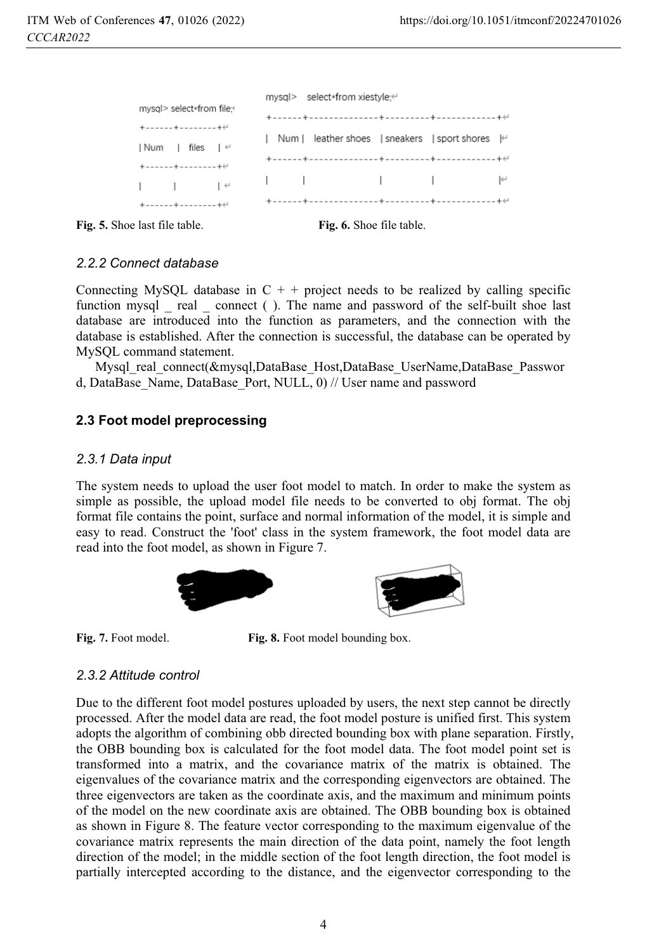| mysgl> select*from file:                                                                           | mysql> select*from xiestyle: e                                                                                                                                                                                                                                                                                                                                                                                                                                                          |  |  |  |  |  |
|----------------------------------------------------------------------------------------------------|-----------------------------------------------------------------------------------------------------------------------------------------------------------------------------------------------------------------------------------------------------------------------------------------------------------------------------------------------------------------------------------------------------------------------------------------------------------------------------------------|--|--|--|--|--|
| $+ - - - - - + - - - - - - - + \in$                                                                |                                                                                                                                                                                                                                                                                                                                                                                                                                                                                         |  |  |  |  |  |
| Num   files                                                                                        | Num   leather shoes   sneakers   sport shores $\in$                                                                                                                                                                                                                                                                                                                                                                                                                                     |  |  |  |  |  |
| $+ - - - - - + - - - - - - - + \infty$                                                             |                                                                                                                                                                                                                                                                                                                                                                                                                                                                                         |  |  |  |  |  |
| $\begin{array}{ccc} \end{array}$ $\begin{array}{ccc} \end{array}$ $\begin{array}{ccc} \end{array}$ | $\begin{array}{ccccccccccccccccc} \multicolumn{3}{c}{} & \multicolumn{3}{c}{} & \multicolumn{3}{c}{} & \multicolumn{3}{c}{} & \multicolumn{3}{c}{} & \multicolumn{3}{c}{} & \multicolumn{3}{c}{} & \multicolumn{3}{c}{} & \multicolumn{3}{c}{} & \multicolumn{3}{c}{} & \multicolumn{3}{c}{} & \multicolumn{3}{c}{} & \multicolumn{3}{c}{} & \multicolumn{3}{c}{} & \multicolumn{3}{c}{} & \multicolumn{3}{c}{} & \multicolumn{3}{c}{} & \multicolumn{3}{c}{} & \multicolumn{3}{c}{} &$ |  |  |  |  |  |
| $+ - - - - - + - - - - - - - + \infty$                                                             |                                                                                                                                                                                                                                                                                                                                                                                                                                                                                         |  |  |  |  |  |

**Fig. 5.** Shoe last file table. **Fig. 6.** Shoe file table.

#### *2.2.2 Connect database*

Connecting MySQL database in  $C + +$  project needs to be realized by calling specific function mysql real connect ( ). The name and password of the self-built shoe last database are introduced into the function as parameters, and the connection with the database is established. After the connection is successful, the database can be operated by MySQL command statement.

Mysql\_real\_connect(&mysql,DataBase\_Host,DataBase\_UserName,DataBase\_Passwor d, DataBase\_Name, DataBase\_Port, NULL, 0) // User name and password

#### **2.3 Foot model preprocessing**

#### *2.3.1 Data input*

The system needs to upload the user foot model to match. In order to make the system as simple as possible, the upload model file needs to be converted to obj format. The obj format file contains the point, surface and normal information of the model, it is simple and easy to read. Construct the 'foot' class in the system framework, the foot model data are read into the foot model, as shown in Figure 7.



Fig. 7. Foot model. **Fig. 8.** Foot model bounding box.

#### *2.3.2 Attitude control*

Due to the different foot model postures uploaded by users, the next step cannot be directly processed. After the model data are read, the foot model posture is unified first. This system adopts the algorithm of combining obb directed bounding box with plane separation. Firstly, the OBB bounding box is calculated for the foot model data. The foot model point set is transformed into a matrix, and the covariance matrix of the matrix is obtained. The eigenvalues of the covariance matrix and the corresponding eigenvectors are obtained. The three eigenvectors are taken as the coordinate axis, and the maximum and minimum points of the model on the new coordinate axis are obtained. The OBB bounding box is obtained as shown in Figure 8. The feature vector corresponding to the maximum eigenvalue of the covariance matrix represents the main direction of the data point, namely the foot length direction of the model; in the middle section of the foot length direction, the foot model is partially intercepted according to the distance, and the eigenvector corresponding to the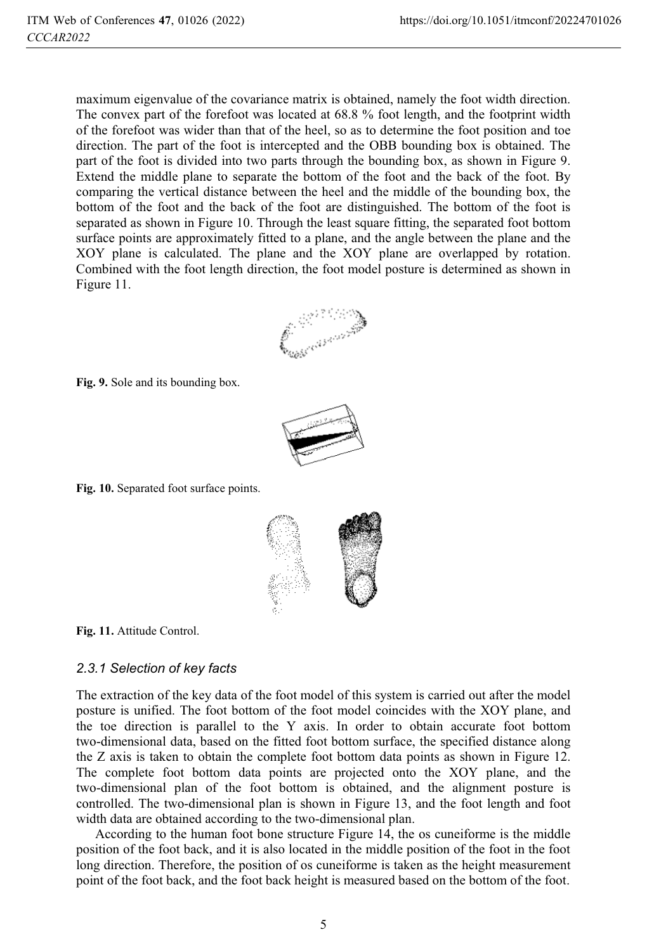maximum eigenvalue of the covariance matrix is obtained, namely the foot width direction. The convex part of the forefoot was located at 68.8 % foot length, and the footprint width of the forefoot was wider than that of the heel, so as to determine the foot position and toe direction. The part of the foot is intercepted and the OBB bounding box is obtained. The part of the foot is divided into two parts through the bounding box, as shown in Figure 9. Extend the middle plane to separate the bottom of the foot and the back of the foot. By comparing the vertical distance between the heel and the middle of the bounding box, the bottom of the foot and the back of the foot are distinguished. The bottom of the foot is separated as shown in Figure 10. Through the least square fitting, the separated foot bottom surface points are approximately fitted to a plane, and the angle between the plane and the XOY plane is calculated. The plane and the XOY plane are overlapped by rotation. Combined with the foot length direction, the foot model posture is determined as shown in Figure 11.



**Fig. 9.** Sole and its bounding box.



**Fig. 10.** Separated foot surface points.



**Fig. 11.** Attitude Control.

#### *2.3.1 Selection of key facts*

The extraction of the key data of the foot model of this system is carried out after the model posture is unified. The foot bottom of the foot model coincides with the XOY plane, and the toe direction is parallel to the Y axis. In order to obtain accurate foot bottom two-dimensional data, based on the fitted foot bottom surface, the specified distance along the Z axis is taken to obtain the complete foot bottom data points as shown in Figure 12. The complete foot bottom data points are projected onto the XOY plane, and the two-dimensional plan of the foot bottom is obtained, and the alignment posture is controlled. The two-dimensional plan is shown in Figure 13, and the foot length and foot width data are obtained according to the two-dimensional plan.

According to the human foot bone structure Figure 14, the os cuneiforme is the middle position of the foot back, and it is also located in the middle position of the foot in the foot long direction. Therefore, the position of os cuneiforme is taken as the height measurement point of the foot back, and the foot back height is measured based on the bottom of the foot.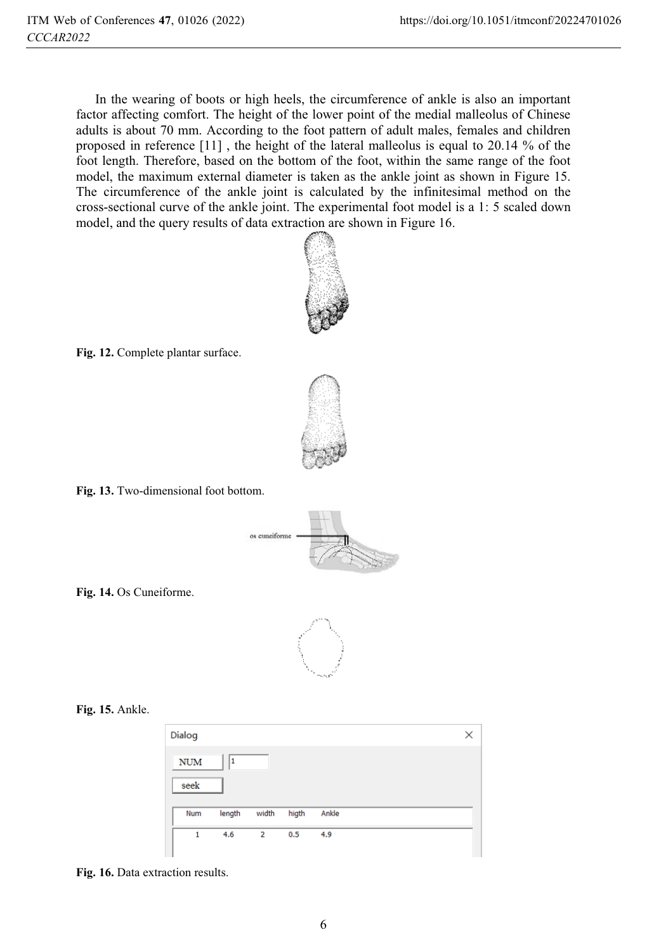In the wearing of boots or high heels, the circumference of ankle is also an important factor affecting comfort. The height of the lower point of the medial malleolus of Chinese adults is about 70 mm. According to the foot pattern of adult males, females and children proposed in reference [11] , the height of the lateral malleolus is equal to 20.14 % of the foot length. Therefore, based on the bottom of the foot, within the same range of the foot model, the maximum external diameter is taken as the ankle joint as shown in Figure 15. The circumference of the ankle joint is calculated by the infinitesimal method on the cross-sectional curve of the ankle joint. The experimental foot model is a 1: 5 scaled down model, and the query results of data extraction are shown in Figure 16.



**Fig. 12.** Complete plantar surface.



**Fig. 13.** Two-dimensional foot bottom.



**Fig. 14.** Os Cuneiforme.



#### **Fig. 15.** Ankle.

| Dialog     |        |                |       |       | × |
|------------|--------|----------------|-------|-------|---|
| <b>NUM</b> | 1      |                |       |       |   |
| seek       |        |                |       |       |   |
| Num        | length | width          | higth | Ankle |   |
| 1          | 4.6    | $\overline{2}$ | 0.5   | 4.9   |   |

**Fig. 16.** Data extraction results.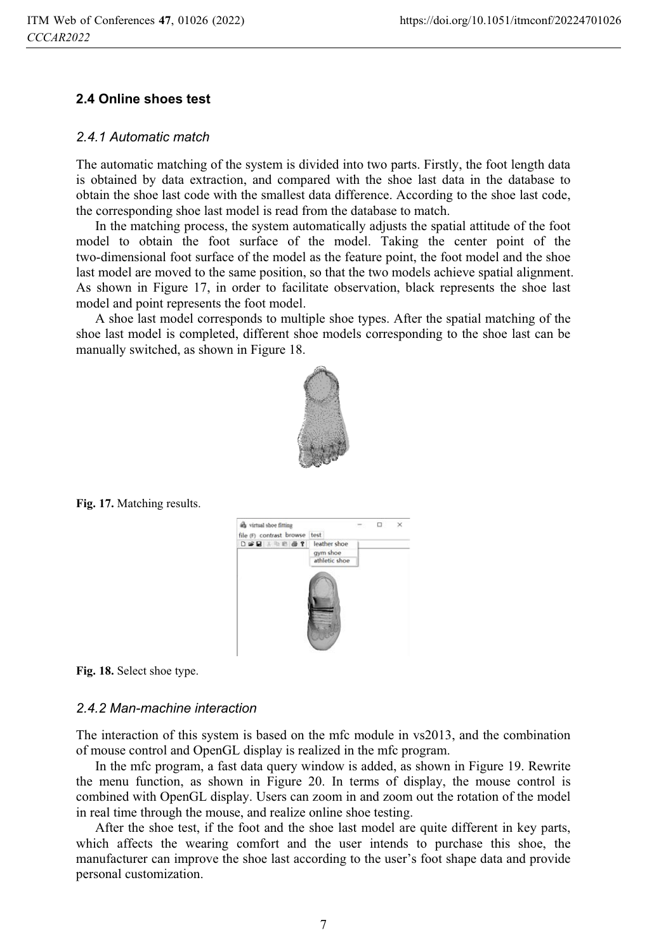#### **2.4 Online shoes test**

#### *2.4.1 Automatic match*

The automatic matching of the system is divided into two parts. Firstly, the foot length data is obtained by data extraction, and compared with the shoe last data in the database to obtain the shoe last code with the smallest data difference. According to the shoe last code, the corresponding shoe last model is read from the database to match.

In the matching process, the system automatically adjusts the spatial attitude of the foot model to obtain the foot surface of the model. Taking the center point of the two-dimensional foot surface of the model as the feature point, the foot model and the shoe last model are moved to the same position, so that the two models achieve spatial alignment. As shown in Figure 17, in order to facilitate observation, black represents the shoe last model and point represents the foot model.

A shoe last model corresponds to multiple shoe types. After the spatial matching of the shoe last model is completed, different shoe models corresponding to the shoe last can be manually switched, as shown in Figure 18.



**Fig. 17.** Matching results.



**Fig. 18.** Select shoe type.

#### *2.4.2 Man-machine interaction*

The interaction of this system is based on the mfc module in vs2013, and the combination of mouse control and OpenGL display is realized in the mfc program.

In the mfc program, a fast data query window is added, as shown in Figure 19. Rewrite the menu function, as shown in Figure 20. In terms of display, the mouse control is combined with OpenGL display. Users can zoom in and zoom out the rotation of the model in real time through the mouse, and realize online shoe testing.

After the shoe test, if the foot and the shoe last model are quite different in key parts, which affects the wearing comfort and the user intends to purchase this shoe, the manufacturer can improve the shoe last according to the user's foot shape data and provide personal customization.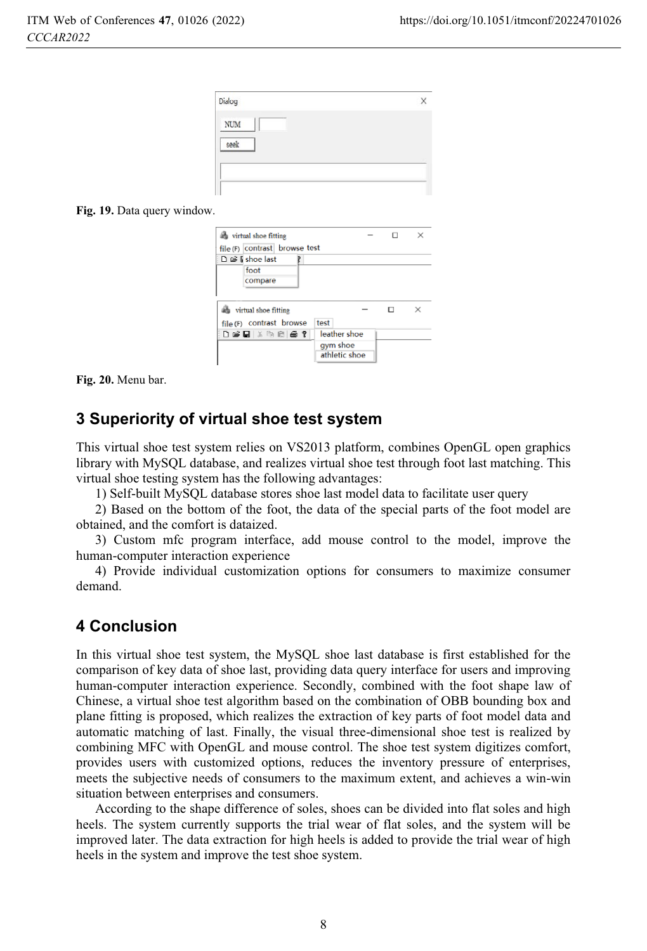| Dialog     |  |
|------------|--|
| <b>NUM</b> |  |
| seek       |  |
|            |  |

**Fig. 19.** Data query window.

| the virtual shoe fitting      |               | п |   |
|-------------------------------|---------------|---|---|
| file (F) contrast browse test |               |   |   |
| D @ I shoe last               |               |   |   |
| foot                          |               |   |   |
| compare                       |               |   |   |
|                               |               |   |   |
| virtual shoe fitting          |               |   | × |
| file (F) contrast browse      | test          |   |   |
| 白蜂目长吻肩骨?                      | leather shoe  |   |   |
|                               | gym shoe      |   |   |
|                               | athletic shoe |   |   |
|                               |               |   |   |

**Fig. 20.** Menu bar.

## **3 Superiority of virtual shoe test system**

This virtual shoe test system relies on VS2013 platform, combines OpenGL open graphics library with MySQL database, and realizes virtual shoe test through foot last matching. This virtual shoe testing system has the following advantages:

1) Self-built MySQL database stores shoe last model data to facilitate user query

2) Based on the bottom of the foot, the data of the special parts of the foot model are obtained, and the comfort is dataized.

3) Custom mfc program interface, add mouse control to the model, improve the human-computer interaction experience

4) Provide individual customization options for consumers to maximize consumer demand.

### **4 Conclusion**

In this virtual shoe test system, the MySQL shoe last database is first established for the comparison of key data of shoe last, providing data query interface for users and improving human-computer interaction experience. Secondly, combined with the foot shape law of Chinese, a virtual shoe test algorithm based on the combination of OBB bounding box and plane fitting is proposed, which realizes the extraction of key parts of foot model data and automatic matching of last. Finally, the visual three-dimensional shoe test is realized by combining MFC with OpenGL and mouse control. The shoe test system digitizes comfort, provides users with customized options, reduces the inventory pressure of enterprises, meets the subjective needs of consumers to the maximum extent, and achieves a win-win situation between enterprises and consumers.

According to the shape difference of soles, shoes can be divided into flat soles and high heels. The system currently supports the trial wear of flat soles, and the system will be improved later. The data extraction for high heels is added to provide the trial wear of high heels in the system and improve the test shoe system.